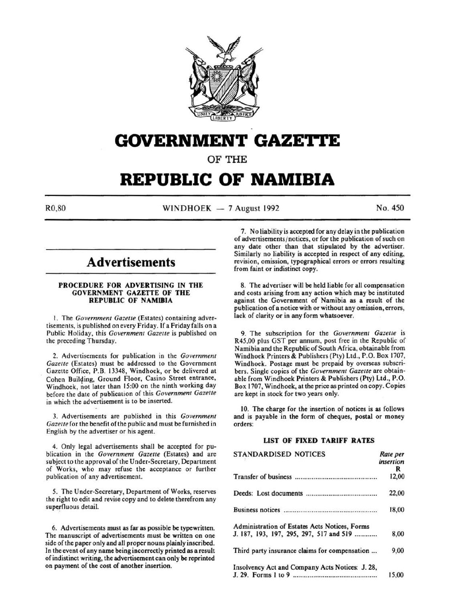

# **GOVERNMENT GAZETTE**

OF THE

# **REPUBLIC OF NAMIBIA**

 $R0,80$  WINDHOEK - 7 August 1992 No. 450

## **Advertisements**

#### PROCEDURE FOR ADVERTISING IN THE GOVERNMENT GAZETTE OF THE REPUBLIC OF NAMIBIA

I. The *Government Gazelle* (Estates) containing advertisements, is published on every Friday. If a Friday falls on a Public Holiday, this *Government Gazelle* is published on the preceding Thursday.

2. Advertisements for publication in the *Government Gazette* (Estates) must be addressed to the Government Gazette Office, P.B. 13348, Windhoek, or be delivered at Cohen Building, Ground Floor, Casino Street entrance, Windhoek, not later than 15:00 on the ninth working day before the date of publication of this *Government Gazelle*  in which the advertisement is to be inserted.

3. Advertisements are published in this *Government Gazelle* for the benefit of the public and must be furnished in English by the advertiser or his agent.

4. Only legal advertisements shall be accepted for publication in the *Government Gazette* (Estates) and are subject to the approval of the Under-Secretary, Department of Works, who may refuse the acceptance or further publication of any advertisement.

5. The Under-Secretary, Department of Works, reserves the right to edit and revise copy and to delete therefrom any superfluous detail.

6. Advertisements must as far as possible be typewritten. The manuscript of advertisements must be written on one side of the paper only and all proper nouns plainly inscribed. In the event of any name being incorrectly printed as a result of indistinct writing, the advertisement can only be reprinted on payment of the cost of another insertion.

7. No liability is accepted for any delay in the publication of advertisements/ notices, or for the publication of such on any date other than that stipulated by the advertiser. Similarly no liability is accepted in respect of any editing, revision, omission, typographical errors or errors resulting from faint or indistinct copy.

8. The advertiser will be held liable for all compensation and costs arising from any action which may be instituted against the Government of Namibia as a result of the publication of a notice with or without any omission, errors, lack of clarity or in any form whatsoever.

9. The subscription for the *Government Gazelle* is R45,00 plus GST per annum, post free in the Republic of Namibia and the Republic of South Africa, obtainable from Windhoek Printers & Publishers (Pty) Ltd., P.O. Box 1707, Windhoek. Postage must be prepaid by overseas subscribers. Single copies of the *Government Gazette* are obtainable from Windhoek Printers & Publishers (Pty) Ltd., P.O. Box 1707, Windhoek, at the price as printed on copy. Copies are kept in stock for two years *only.* 

10. The charge for the insertion of notices is as follows and is payable in the form of cheques, postal or money orders:

### LIST OF FIXED TARIFF RATES

| STANDARDISED NOTICES                            | Rate per<br>insertion |
|-------------------------------------------------|-----------------------|
|                                                 | R                     |
|                                                 | 12,00                 |
|                                                 | 22,00                 |
|                                                 | 18,00                 |
| Administration of Estates Acts Notices, Forms   |                       |
| J. 187, 193, 197, 295, 297, 517 and 519         | 8,00                  |
| Third party insurance claims for compensation   | 9,00                  |
| Insolvency Act and Company Acts Notices: J. 28, |                       |
|                                                 | 15,00                 |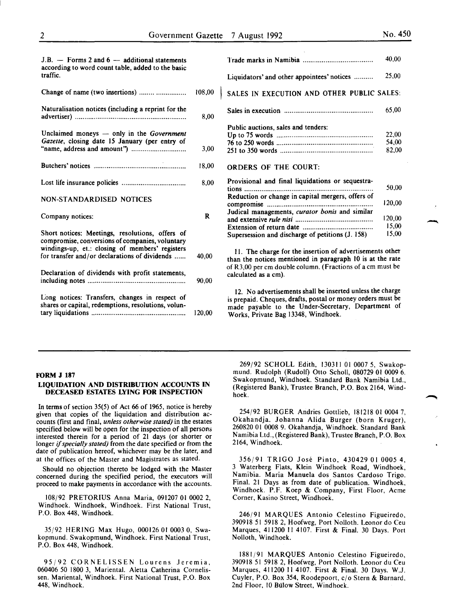| $J.B.$ - Forms 2 and 6 - additional statements<br>according to word count table, added to the basic   |        |                                                                                                                                                                                                                       | 40.00  |
|-------------------------------------------------------------------------------------------------------|--------|-----------------------------------------------------------------------------------------------------------------------------------------------------------------------------------------------------------------------|--------|
| traffic.                                                                                              |        | Liquidators' and other appointees' notices                                                                                                                                                                            | 25,00  |
| Change of name (two insertions)                                                                       | 108,00 | SALES IN EXECUTION AND OTHER PUBLIC SALES:                                                                                                                                                                            |        |
| Naturalisation notices (including a reprint for the                                                   | 8,00   |                                                                                                                                                                                                                       | 65,00  |
|                                                                                                       |        | Public auctions, sales and tenders:                                                                                                                                                                                   |        |
| Unclaimed moneys $-$ only in the Government                                                           |        |                                                                                                                                                                                                                       | 22,00  |
| Gazette, closing date 15 January (per entry of                                                        |        |                                                                                                                                                                                                                       | 54,00  |
|                                                                                                       | 3,00   |                                                                                                                                                                                                                       | 82,00  |
|                                                                                                       | 18,00  | <b>ORDERS OF THE COURT:</b>                                                                                                                                                                                           |        |
|                                                                                                       | 8,00   | Provisional and final liquidations or sequestra-                                                                                                                                                                      | 50,00  |
| <b>NON-STANDARDISED NOTICES</b>                                                                       |        | Reduction or change in capital mergers, offers of                                                                                                                                                                     | 120,00 |
| Company notices:                                                                                      | R      | Judical managements, curator bonis and similar                                                                                                                                                                        | 120,00 |
|                                                                                                       |        |                                                                                                                                                                                                                       | 15,00  |
| Short notices: Meetings, resolutions, offers of<br>compromise, conversions of companies, voluntary    |        | Supersession and discharge of petitions (J. 158)                                                                                                                                                                      | 15.00  |
| windings-up, et.: closing of members' registers<br>for transfer and/or declarations of dividends      | 40,00  | 11. The charge for the insertion of advertisements other<br>than the notices mentioned in paragraph 10 is at the rate                                                                                                 |        |
| Declaration of dividends with profit statements,                                                      | 90.00  | of R3,00 per cm double column. (Fractions of a cm must be<br>calculated as a cm).                                                                                                                                     |        |
| Long notices: Transfers, changes in respect of<br>shares or capital, redemptions, resolutions, volun- | 120,00 | 12. No advertisements shall be inserted unless the charge<br>is prepaid. Cheques, drafts, postal or money orders must be<br>made payable to the Under-Secretary, Department of<br>Works, Private Bag 13348, Windhoek. |        |

|                                                   | 40,00                   |
|---------------------------------------------------|-------------------------|
| Liquidators' and other appointees' notices        | 25,00                   |
| SALES IN EXECUTION AND OTHER PUBLIC SALES:        |                         |
|                                                   | 65.00                   |
| Public auctions, sales and tenders:               | 22,00<br>54,00<br>82.00 |
| <b>ORDERS OF THE COURT:</b>                       |                         |
| Provisional and final liquidations or sequestra-  | 50,00                   |
| Reduction or change in capital mergers, offers of | 120.00                  |
| Judical managements, curator bonis and similar    | 120,00                  |
|                                                   | 15.00                   |

#### FORM J 187

#### LIQUIDATION AND DISTRIBUTION ACCOUNTS IN DECEASED ESTATES LYING FOR INSPECTION

In terms of section 35(5) of Act 66 of 1965, notice is hereby given that copies of the liquidation and distribution accounts (first and final, *unless otherwise stated)* in the estates specified below will be open for the inspection of all persons interested therein for a period of 21 days (or shorter or longer if *specially stated)* from the date specified or from the date of publication hereof, whichever may be the later, and at the offices of the Master and Magistrates as stated.

Should no objection thereto be lodged with the Master concerned during the specified period, the executors will proceed to make payments in accordance with the accounts.

108/92 PRETORIUS Anna Maria, 091207 01 0002 2, Windhoek. Windhoek, Windhoek. First National Trust, P.O. Box 448, Windhoek.

35/92 HERING Max Hugo, 000126 01 0003 0, Swakopmund. Swakopmund, Windhoek. First National Trust, P.O. Box 448, Windhoek.

95/92 CORNELISSEN Lourens Jeremia, 060406 50 1800 3, Mariental. Aletta Catherina Cornelissen. Mariental, Windhoek. First National Trust, P.O. Box 448, Windhoek.

269/92 SCHOLL Edith, 130311 01 0007 5, Swakopmund. Rudolph (Rudolf) Otto Scholl, 080729 01 0009 6. Swakopmund, Windhoek. Standard Bank Namibia Ltd., (Registered Bank), Trustee Branch, P.O. Box 2164, Windhoek.

254/92 BURGER Andries Gottlieb, 181218 01 0004 7, Okahandja. Johanna Alida Burger (born Kruger), 260820 01 0008 9. Okahandja, Windhoek. Standard Bank Namibia Ltd., (Registered Bank), Trustee Branch, P.O. Box 2164, Windhoek.

356/91 TRIGO Jose Pinto, 430429 01 0005 4, 3 Waterberg Flats, Klein Windhoek Road, Windhoek, Namibia. Maria Manuela dos Santos Cardoso Trigo. Final. 21 Days as from date of publication. Windhoek, Windhoek. P.F. Koep & Company, First Floor, Acme Corner, Kasino Street, Windhoek.

246/91 MARQUES Antonio Celestino Figueiredo, 390918 51 5918 2, Hoofweg, Port Nolloth. Leonor do Ceu Marques, 411200 II 4107. First & Final. 30 Days. Port Nolloth, Windhoek.

1881/91 MARQUES Antonio Celestino Figueiredo, 390918 51 5918 2, Hoofweg, Port Nolloth. Leonor du Ceu Marques, 411200 II 4107. First & Final. 30 Days. W.J. Cuyler, P.O. Box 354, Roodepoort, c/o Stern & Barnard, 2nd Floor, 10 Bulow Street, Windhoek.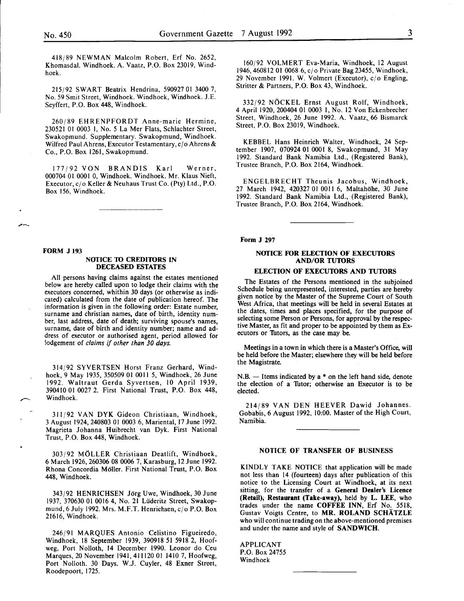418/89 NEWMAN Malcolm Robert, Erf No. 2652, Khomasdal. Windhoek. A. Vaatz, P.O. Box 23019, Windhoek.

215/92 SWART Beatrix Hendrina, 590927 01 3400 7, No. 59 Smit Street, Windhoek. Windhoek, Windhoek. J.E. Seyffert, P.O. Box 448, Windhoek.

260/89 EHRENPFORDT Anne-marie Hermine, 230521 01 0003 1, No. 5 La Mer Flats, Schlachter Street, Swakopmund. Supplementary. Swakopmund, Windhoek. Wilfred Paul Ahrens, Executor Testamentary, c/o Ahrens & Co., P.O. Box 1261, Swakopmund.

177/92 VON BRANDIS Karl Werner, 000704 01 0001 0, Windhoek. Windhoek. Mr. Klaus Nieft, Executor, c/o Keller & Neuhaus Trust Co. (Pty) Ltd., P.O. Box 156, Windhoek.

#### FORM J 193

#### NOTICE TO CREDITORS IN DECEASED ESTATES

All persons having claims against the estates mentioned below are hereby called upon to lodge their claims with the executors concerned, whithin 30 days (or otherwise as indicated) calculated from the date of publication hereof. The information is given in the following order: Estate number surname and christian names, date of birth, identity num: ber, last address, date of death; surviving spouse's names, surname, date of birth and identity number; name and address of executor or authorised agent, period allowed for lodgement of *claims* if *other than 30 days.* 

314/92 SYVERTSEN Horst Franz Gerhard, Windhoek, 9 May 1935, 350509 01 0011 5, Windhoek, 26 June 1992. Waltraut Gerda Syvertsen, 10 April 1939, 390410 01 0027 2. First National Trust, P.O. Box 448, Windhoek.

311/92 VAN DYK Gideon Christiaan, Windhoek, 3 August 1924,240803 01 0003 6, Mariental, 17 June 1992. Magrieta Johanna Huibrecht van Dyk. First National Trust, P.O. Box 448, Windhoek.

303/92 M6LLER Christiaan Deatlift, Windhoek, 6 March 1926,260306 08 0006 7, Karasburg, 12June 1992. Rhona Concordia Moller. First National Trust, P.O. Box 448, Windhoek.

343/92 HENRICHSEN Jorg Uwe, Windhoek, 30 June 1937, 370630 01 0016 4, No. 21 Liideritz Street, Swakopmund, 6 July 1992. Mrs. M.F.T. Henrichsen, c/o P.O. Box 21616, Windhoek.

~46/91 MARQUES Antonio Celistino Figueiredo, Wmdhoek, 18 September 1939, 390918 51 5918 2, Hoofweg, Port Nolloth, 14 December 1990. Leonor do Ceu Marques, 20 November 1941,411120 01 1410 7, Hoofweg, Port Nolloth. 30 Days. W.J. Cuyler, 48 Exner Street, Roodepoort, 1725.

160/92 VOLMERT Eva-Maria, Windhoek, 12 August 1946,460812 01 0068 6, cj o Private Bag 23455, Windhoek, 29 November 1991. W. Volmert (Executor), c/o Engling, Stritter & Partners, P.O. Box 43, Windhoek.

332/92 N6CKEL Ernst August Rolf, Windhoek, 4 April 1920, 200404 01 0003 I, No. 12 Von Eckenbrecher Street, Windhoek, 26 June 1992. A. Vaatz, 66 Bismarck Street, P.O. Box 23019, Windhoek.

KEBBEL Hans Heinrich Walter, Windhoek, 24 September 1907, 070924 01 0001 8, Swakopmund, 31 May 1992. Standard Bank Namibia Ltd., (Registered Bank), Trustee Branch, P.O. Box 2164, Windhoek.

ENGELBRECHT Theunis Jacobus, Windhoek, 27 March 1942, 420327 01 0011 6, Maltahohe, 30 June 1992. Standard Bank Namibia Ltd., (Registered Bank), Trustee Branch, P.O. Box 2164, Windhoek.

Form J 297

#### NOTICE FOR ELECTION OF EXECUTORS **AND/OR TUTORS**

#### ELECTION OF EXECUTORS AND TUTORS

The Estates of the Persons mentioned in the subjoined Schedule being unrepresented, interested, parties are hereby given notice by the Master of the Supreme Court of South West Africa, that meetings will be held in several Estates at the dates, times and places specified, for the purpose of selecting some Person or Persons, for approval by the respective Master, as fit and proper to be appointed by them as Executors or Thtors, as the case may be.

Meetings in a town in which there is a Master's Office, will be held before the Master; elsewhere they will be held before the Magistrate.

 $N.B.$  - Items indicated by a  $*$  on the left hand side, denote the election of a Tutor; otherwise an Executor is to be elected.

214/89 VAN DEN HEEVER Dawid Johannes. Gobabis, 6 August 1992, 10:00. Master of the High Court, Namibia.

#### NOTICE OF TRANSFER OF BUSINESS

KINDLY TAKE NOTICE that application will be made not less than 14 (fourteen) days after publication of this notice to the Licensing Court at Windhoek, at its next sitting, for the transfer of a General Dealer's Licence (Retail); Restaurant (Take-away), held by L. LEE, who trades under the name COFFEE INN, Erf No. 5518, Gustav Voigts Centre, to MR. ROLAND SCHATZLE who will continue trading on the above-mentioned premises and under the name and style of SANDWICH.

APPLICANT P.O. Box 24755 Windhoek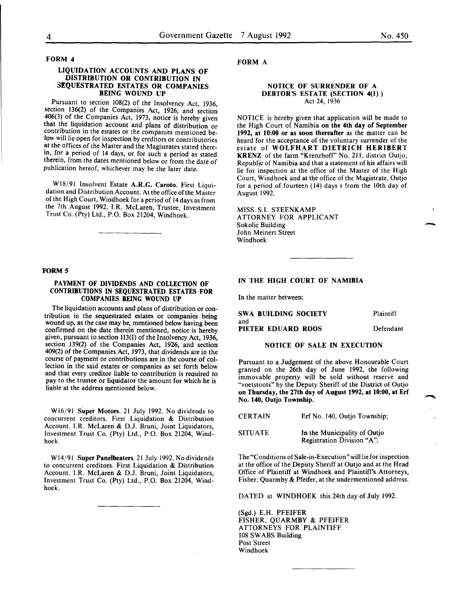#### FORM 4

#### LIQUIDATION ACCOUNTS AND PLANS OF DISTRIBUTION OR CONTRIBUTION IN SEQUESTRATED ESTATES OR COMPANIES BEING WOUND UP

Pursuant to section 108(2) of the Insolvency Act, 1936, section 136(2) of the Companies Act, 1926, and section 406(3) of the Companies Act, 1973, notice is hereby given contribution in the estates or the companies mentioned below will lie open for inspection by creditors or contributories at the offices of the Master and the Magistrates stated therein, for a period of 14 days, or for such a period as stated therein, from the dates mentioned below or from the date of publication hereof, whichever may be the later date.

Wl8/91 Insolvent Estate A.R.G. Caroto. First Liquidation and Distribution Account. At the office of the Master of the High Court, Windhoek for a period of 14days as from the 7th August 1992. I.R. McLaren, Trustee, Investment Trust Co. (Pty) Ltd., P.O. Box 21204, Windhoek.

#### 'FORM 5

#### PAYMENT OF DIVIDENDS AND COLLECTION OF CONTRIBUTIONS IN SEQUESTRATED ESTATES FOR COMPANIES BEING WOUND UP

The liquidation accounts and plans of distribution or contribution in the sequestrated estates or companies being wound up, as the case may be, mentioned below having been confirmed on the date therein mentioned, notice is hereby given, pursuant to section 113(1) of the Insolvency Act, 1936, section 139(2) of the Companies Act, 1926, and section 409(2) of the Companies Act, 1973, that dividends are in the course of payment or contributions are in the course of collection in the said estates or companies as set forth below and that every creditor liable to contribution is reauired to pay to the trustee or liquidator the amount for which he is liable at the address mentioned below.

W16/91 Super Motors. 21 July 1992. No dividends to concurrent creditors. First Liquidation & Distribution Account. I.R. McLaren & D.J. Bruni, Joint Liquidators, Investment Trust Co. (Pty) Ltd., P.O. Box 21204, Windhoek.

W14/91 Super Panelbeaters. 21 July 1992. No dividends to concurrent creditors. First Liquidation & Distribution Account. I.R. McLaren & D.J. Bruni, Joint Liquidators, Investment Trust Co. (Pty) Ltd., P.O. Box 21204, Windhoek.

FORM A

#### NOTICE OF SURRENDER OF A DEBTOR'S ESTATE (SECTION 4(1)) Act 24, 1936

NOTICE is hereby given that application will be made to the High Court of Namibia on the 4th day of September 1992, at 10:00 or as soon thereafter as the matter can be heard for the acceptance of the voluntary surrender of the estate of WOLFHART DIETRICH HERIBERT KRENZ of the farm "Krenzhofr' No. 211, district Outjo, Republic of Namibia and that a statement of his affairs will lie for inspection at the office of the Master of the High Court, Windhoek and at the office of the Magistrate, Outjo for a period of fourteen ( 14) days s from the lOth day of August 1992.

MISS S.I. STEENKAMP ATTORNEY FOR APPLICANT Sokolic Building John Meinert Street Windhoek

#### IN THE HIGH COURT OF NAMIBIA

In the matter between:

| <b>SWA BUILDING SOCIETY</b> | Plaintiff |
|-----------------------------|-----------|
| and                         |           |
| PIETER EDUARD ROOS          | Defendant |

#### NOTICE OF SALE IN EXECUTION

Pursuant to a Judgement of the above Honourable Court granted on the 26th day of June 1992, the following immovable property will be sold without reserve and "voetstoots" by the Deputy Sheriff of the District of Outjo on Thursday, the 27th day of August 1992, at 10:00, at Erf No. 140, Outjo Township.

| <b>CERTAIN</b> | Erf No. 140, Outio Township;                               |
|----------------|------------------------------------------------------------|
| <b>SITUATE</b> | In the Municipality of Outio<br>Registration Division "A". |

The "Conditions of Sale-in-Execution" will lie for inspection at the office of the Deputy Sheriff at Outjo and at the Head Office of Plaintiff at Windhoek and Plaintiffs Attorneys, Fisher, Quarmby & Pfeifer, at the undermentioned address.

DATED at WINDHOEK this 24th day of July 1992.

(Sgd.) E.H. PFEIFER FISHER, QUARMBY & PFEIFER ATTORNEYS FOR PLAINTIFF 108 SWABS Building Post Street Windhoek

-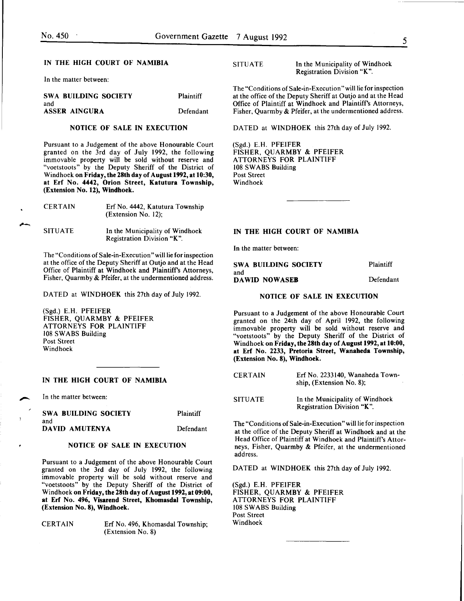.<br>-<br>-

#### IN THE HIGH COURT OF NAMIBIA

In the matter between:

| SWA BUILDING SOCIETY | <b>Plaintiff</b> |
|----------------------|------------------|
| and                  |                  |
| <b>ASSER AINGURA</b> | Defendant        |

#### NOTICE OF SALE IN EXECUTION

Pursuant to a Judgement of the above Honourable Court granted on the 3rd day of July 1992, the following immovable property will be sold without reserve and "voetstoots" by the Deputy Sheriff of the District of Windhoek on Friday, the 28th day of August 1992, at 10:30, at Erf No. 4442, Orion Street, Katutura Township, (Extension No. 12), Windhoek.

| <b>CERTAIN</b> | Erf No. 4442, Katutura Township<br>$(Extension No. 12)$ :     |
|----------------|---------------------------------------------------------------|
| <b>SITUATE</b> | In the Municipality of Windhoek<br>Registration Division "K". |

The "Conditions of Sale-in-Execution "will lie for inspection at the office of the Deputy Sheriff at Outjo and at the Head Office of Plaintiff at Windhoek and Plaintiff's Attorneys, Fisher, Quarmby & Pfeifer, at the undermentioned address.

DATED at WINDHOEK this 27th day of July 1992.

(Sgd.) E.H. PFEIFER FISHER, QUARMBY & PFEIFER ATTORNEYS FOR PLAINTIFF 108 SWABS Building Post Street Windhoek

#### IN THE HIGH COURT OF NAMIBIA

In the matter between:

| <b>SWA BUILDING SOCIETY</b> | Plaintiff |
|-----------------------------|-----------|
| and                         |           |
| DAVID AMUTENYA              | Defendant |

#### NOTICE OF SALE IN EXECUTION

Pursuant to a Judgement of the above Honourable Court granted on the 3rd day of July 1992, the following immovable property will be sold without reserve and "voetstoots" by the Deputy Sheriff of the District of Windhoek on Friday, the 28th day of August 1992, at 09:00, at Erf No. 496, Visarend Street, Khomasdal Township, (Extension No. 8), Windhoek.

CERTAIN Erf No. 496, Khomasdal Township; (Extension No. 8)

SITUATE In the Municipality of Windhoek Registration Division "K".

The "Conditions of Sale-in-Execution" will lie for inspection at the office of the Deputy Sheriff at Outjo and at the Head Office of Plaintiff at Windhoek and Plaintiff's Attorneys, Fisher, Quarmby & Pfeifer, at the undermentioned address.

DATED at WINDHOEK this 27th day of July 1992.

(Sgd.) E.H. PFEIFER FISHER, QUARMBY & PFEIFER ATTORNEYS FOR PLAINTIFF 108 SWABS Building Post Street Windhoek

#### IN THE HIGH COURT OF NAMIBIA

In the matter between:

| SWA BUILDING SOCIETY | Plaintiff |
|----------------------|-----------|
| and                  |           |
| DAWID NOWASEB        | Defendant |

#### NOTICE OF SALE IN EXECUTION

Pursuant to a Judgement of the above Honourable Court granted on the 24th day of April 1992, the following immovable property will be sold without reserve and "voetstoots" by the Deputy Sheriff of the District of Windhoek on Friday, the 28th day of August 1992, at 10:00, at Erf No. 2233, Pretoria Street, Wanaheda Township, (Extension No. 8), Windhoek.

| <b>CERTAIN</b> | Erf No. 2233140, Wanaheda Town-<br>ship. (Extension No. 8);   |
|----------------|---------------------------------------------------------------|
| <b>SITUATE</b> | In the Municipality of Windhoek<br>Registration Division "K". |

The "Conditions of Sale-in-Execution" will lie for inspection at the office of the Deputy Sheriff at Windhoek and at the Head Office of Plaintiff at Windhoek and Plaintiff's Attorneys, Fisher, Quarmby & Pfeifer, at the undermentioned address.

DATED at WINDHOEK this 27th day of July 1992.

(Sgd.) E.H. PFEIFER FISHER, QUARMBY & PFEIFER ATTORNEYS FOR PLAINTIFF 108 SWABS Building Post Street Windhoek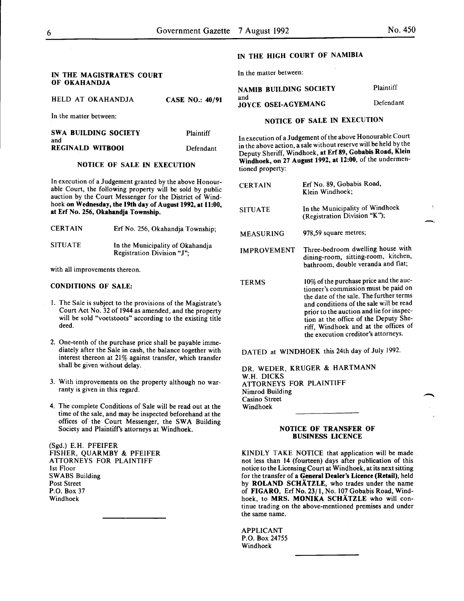and

|  | HELD AT OKAHANDJA | <b>CASE NO.: 40/91</b> |  |
|--|-------------------|------------------------|--|
|  |                   |                        |  |

In the matter between:

| SWA BUILDING SOCIETY    | Plaintiff |
|-------------------------|-----------|
| and                     |           |
| <b>REGINALD WITBOOI</b> | Defendant |

#### NOTICE OF SALE IN EXECUTION

In execution of a Judgement granted by the above Honourable Court, the following property will be sold by public auction by the Court Messenger for the District of Windhoek on Wednesday, the 19th day of August 1992, at 11:00, at Erf No. 256, Okahandja Township.

| <b>CERTAIN</b> | Erf No. 256, Okahandia Township:                               |
|----------------|----------------------------------------------------------------|
| <b>SITUATE</b> | In the Municipality of Okahandja<br>Registration Division "J"; |

with all improvements thereon.

#### CONDITIONS OF SALE:

- I. The Sale is subject to the provisions of the Magistrate's Court Act No. 32 of 1944 as amended, and the property will be sold "voetstoots" according to the existing title deed.
- 2. One-tenth of the purchase price shall be payable immediately after the Sale in cash, the balance together with interest thereon at 21% against transfer, which transfer shall be given without delay.
- 3. With improvements on the property although no warranty is given in this regard.
- 4. The complete Conditions of Sale will be read out at the time of the sale, and may be inspected beforehand at the offices of the Court Messenger, the SWA Building Society and Plaintiffs attorneys at Windhoek.

(Sgd.) E.H. PFEIFER FISHER, QUARMBY & PFEIFER ATTORNEYS FOR PLAINTIFF 1st Floor SWABS Building Post Street P.O. Box 37 Windhoek

### IN THE HIGH COURT OF NAMIBIA

In the matter between:

NAMIB BUILDING SOCIETY Plaintiff

JOYCE OSEI-AGYEMANG Defendant

#### NOTICE OF SALE IN EXECUTION

In execution of a Judgement of the above Honourable Court in the above action, a sale without reserve will be held by the Deputy Sheriff, Windhoek, at Erf 89, Gobabis Road, Klem Windhoek, on 27 August 1992, at 12:00, of the undermentioned property:

| <b>CERTAIN</b>     | Erf No. 89, Gobabis Road,<br>Klein Windhoek:                                                                                                                                                                                                                                                                                             |
|--------------------|------------------------------------------------------------------------------------------------------------------------------------------------------------------------------------------------------------------------------------------------------------------------------------------------------------------------------------------|
| <b>SITUATE</b>     | In the Municipality of Windhoek<br>(Registration Division "K");                                                                                                                                                                                                                                                                          |
| <b>MEASURING</b>   | 978,59 square metres;                                                                                                                                                                                                                                                                                                                    |
| <b>IMPROVEMENT</b> | Three-bedroom dwelling house with<br>dining-room, sitting-room, kitchen,<br>bathroom, double veranda and flat;                                                                                                                                                                                                                           |
| TERMS              | 10% of the purchase price and the auc-<br>tioneer's commission must be paid on<br>the date of the sale. The further terms<br>and conditions of the sale will be read<br>prior to the auction and lie for inspec-<br>tion at the office of the Deputy She-<br>riff, Windhoek and at the offices of<br>the execution creditor's attorneys. |

DATED at WINDHOEK this 24th day of July 1992.

DR. WEDER, KRUGER & HARTMANN W.H. DICKS ATTORNEYS FOR PLAINTIFF Nimrod Building Casino Street Windhoek

#### NOTICE OF TRANSFER OF BUSINESS LICENCE

KINDLY TAKE NOTICE that application will be made not less than 14 (fourteen) days after publication of this notice to the Licensing Court at Windhoek, at its next sitting for the transfer of a General Dealer's Licence (Retail), held by ROLAND SCHATZLE, who trades under the name of FIGARO, Erf No. 23/1, No. 107 Gobabis Road, Windhoek, to MRS. MONIKA SCHÄTZLE who will continue trading on the above-mentioned premises and under the same name.

APPLICANT P.O. Box 24755 Windhoek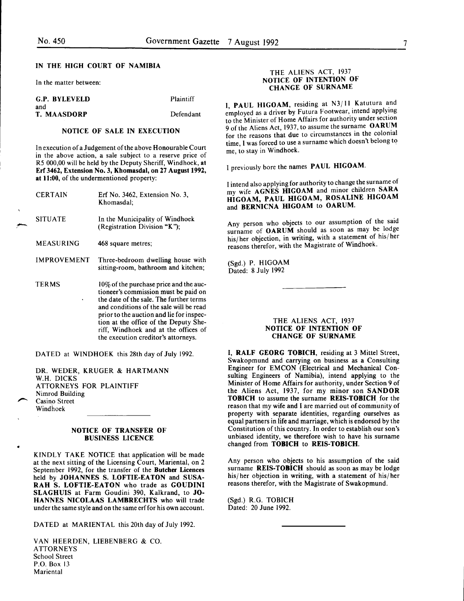### IN THE HIGH COURT OF NAMIBIA

In the matter between:

| G.P. BYLEVELD | Plaintiff |
|---------------|-----------|
| and           |           |
| T. MAASDORP   | Defendant |

#### NOTICE OF SALE IN EXECUTION

In execution of a Judgement of the above Honourable Court in the above action, a sale subject to a reserve price of RS 000,00 will be held by the Deputy Sheriff, Windhoek, at Erf 3462, Extension No.3, Khomasdal, on 27 August 1992, at 11:00, of the undermentioned property:

| <b>CERTAIN</b>     | Erf No. 3462, Extension No. 3,<br>Khomasdal:                                                                                                                                                                                                                                                                                              |
|--------------------|-------------------------------------------------------------------------------------------------------------------------------------------------------------------------------------------------------------------------------------------------------------------------------------------------------------------------------------------|
| <b>SITUATE</b>     | In the Municipality of Windhoek<br>(Registration Division "K");                                                                                                                                                                                                                                                                           |
| MEASURING          | 468 square metres:                                                                                                                                                                                                                                                                                                                        |
| <b>IMPROVEMENT</b> | Three-bedroom dwelling house with<br>sitting-room, bathroom and kitchen;                                                                                                                                                                                                                                                                  |
| <b>TERMS</b>       | 10\% of the purchase price and the auc-<br>tioneer's commission must be paid on<br>the date of the sale. The further terms<br>and conditions of the sale will be read<br>prior to the auction and lie for inspec-<br>tion at the office of the Deputy She-<br>riff, Windhoek and at the offices of<br>the execution creditor's attorneys. |

DATED at WINDHOEK this 28th day of July 1992.

DR. WEDER, KRUGER & HARTMANN W.H. DICKS ATTORNEYS FOR PLAINTIFF Nimrod Building Casino Street Windhoek

•

#### NOTICE OF TRANSFER OF BUSINESS LICENCE

KINDLY TAKE NOTICE that application will be made at the next sitting of the Licensing Court, Mariental, on 2 September 1992, for the transfer of the Butcher Licences held by JOHANNES S. LOFTIE-EATON and SUSA-RAH S. LOFTIE-EATON who trade as GOUDINI SLAGHUIS at Farm Goudini 390, Kalkrand, to JO-HANNES NICOLAAS LAMBRECHTS who will trade under the same style and on the same erf for his own account.

DATED at MARIENTAL this 20th day of July 1992.

VAN HEERDEN, LIEBENBERG & CO. ATTORNEYS School Street P.O. Box 13 Mariental

#### THE ALIENS ACT, 1937 NOTICE OF INTENTION OF CHANGE OF SURNAME

I, PAUL HIGOAM, residing at N3/ II Katutura and employed as a driver by Futura Footwear, intend applying to the Minister of Home Affairs for authority under section 9 of the Aliens Act, 1937, to assume the surname OARUM for the reasons that due to circumstances in the colonial time, I was forced to use a surname which doesn't belong to me, to stay in Windhoek.

I previously bore the names PAUL HIGOAM.

I intend also applying for authority to change the surname of my wife AGNES HIGOAM and minor children SARA HIGOAM, PAUL HIGOAM, ROSALINE HIGOAM and BERNICNA HIGOAM to OARUM.

Any person who objects to our assumption of the said surname of OARUM should as soon as may be lodge his/her objection, in writing, with a statement of his/her reasons therefor, with the Magistrate of Windhoek.

(Sgd.) P. HIGOAM Dated: 8 July 1992

#### THE ALIENS ACT, 1937 NOTICE OF INTENTION OF CHANGE OF SURNAME

I, RALF GEORG TOBICH, residing at 3 Mittel Street, Swakopmund and carrying on business as a Consulting Engineer for EMCON (Electrical and Mechanical Consulting Engineers of Namibia), intend applying to the Minister of Home Affairs for authority, under Section 9 of the Aliens Act, 1937, for my minor son SANDOR TOBICH to assume the surname REIS-TOBICH for the reason that my wife and I are married out of community of property with separate identities, regarding ourselves as equal partners in life and marriage, which is endorsed by the Constitution of this country. In order to establish our son's unbiased identity, we therefore wish to have his surname changed from TOBICH to REIS-TOBICH.

Any person who objects to his assumption of the said surname **REIS-TOBICH** should as soon as may be lodge his/her objection in writing, with a statement of his/her reasons therefor, with the Magistrate of Swakopmund.

(Sgd.) R.G. TOBICH Dated: 20 June 1992.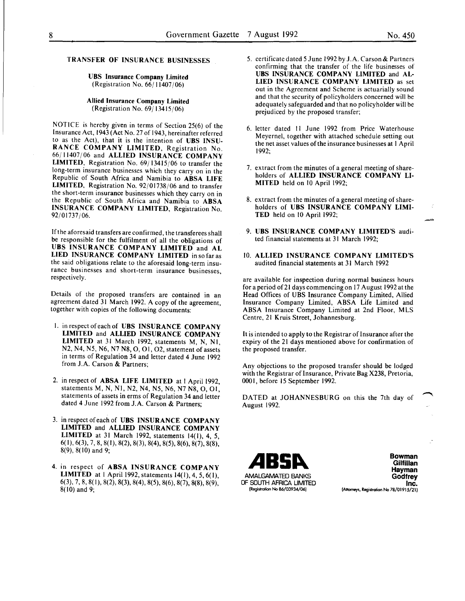### TRANSFER OF INSURANCE BUSINESSES

#### UBS Insurance Company Limited (Registration No. 66/ 11407/06)

#### Allied Insurance Company Limited (Registration No. 69/ 13415/06)

NOTICE is hereby given in terms of Section 25(6) of the Insurance Act, 1943 (Act No. 27 of 1943, hereinafter referred to as the Act), that it is the intention of UBS INSU-RANCE COMPANY LIMITED, Registration No. 66/11407/06 and ALLIED INSURANCE COMPANY LIMITED, Registration No. 69/13415/06 to transfer the long-term insurance businesses which they carry on in the Republic of South Africa and Namibia to ABSA LIFE LIMITED, Registration No. 92/01738/06 and to transfer the short-term insurance businesses which they carry on in the Republic of South Africa and Namibia to ABSA INSURANCE COMPANY LIMITED, Registration No. 92/01737/06.

If the aforesaid transfers are confirmed, the transferees shall be responsible for the fulfilment of all the obligations of UBS INSURANCE COMPANY LIMITED and AL LIED INSURANCE COMPANY LIMITED insofaras the said obligations relate to the aforesaid long-term insurance businesses and short-term insurance businesses, respectively.

Details of the proposed transfers are contained in an agreement dated 31 March 1992. A copy of the agreement, together with copies of the following documents:

- I. in respect of each of UBS INSURANCE COMPANY LIMITED and ALLIED INSURANCE COMPANY LIMITED at 31 March 1992, statements M, N, Nl, N2, N4, N5, N6, N7 N8, 0, 01, 02, statement of assets in terms of Regulation 34 and letter dated 4 June 1992 from J.A. Carson & Partners;
- 2. in respect of ABSA LIFE LIMITED at 1 April 1992, statements M, N, Nl, N2, N4, N5, N6, N7 N8, 0, 01, statements of assets in erms of Regulation 34 and letter dated 4 June 1992 from J.A. Carson & Partners;
- 3. in respect of each of UBS INSURANCE COMPANY LIMITED and ALLIED INSURANCE COMPANY LIMITED at 31 March 1992, statements 14(1), 4, 5,  $6(1), 6(3), 7, 8, 8(1), 8(2), 8(3), 8(4), 8(5), 8(6), 8(7), 8(8),$  $8(9)$ ,  $8(10)$  and 9;
- 4. in respect of ABSA INSURANCE COMPANY LIMITED at 1 April 1992, statements  $14(1)$ , 4, 5, 6(1), 6(3), 7, 8, 8(1), 8(2), 8(3), 8(4), 8(5), 8(6), 8(7), 8(8), 8(9), 8(10) and 9;
- 5. certificate dated 5 June 1992 by J .A. Carson & Partners confirming that the transfer of the life businesses of UBS INSURANCE COMPANY LIMITED and AL-LIED INSURANCE COMPANY LIMITED as set out in the Agreement and Scheme is actuarially sound and that the security of policyholders concerned will be adequately safeguarded and that no policyholder will be prejudiced by the proposed transfer;
- 6. letter dated II June 1992 from Price Waterhouse Meyernel, together with attached schedule setting out the net asset values of the insurance businesses at I April 1992;
- 7. extract from the minutes of a general meeting of shareholders of ALLIED INSURANCE COMPANY LI-MITED held on 10 April 1992;
- 8. extract from the minutes of a general meeting of shareholders of UBS INSURANCE COMPANY LIMI-TED held on 10 April 1992;
- 9. UBS INSURANCE COMPANY LIMITED'S audited financial statements at 31 March 1992;
- 10. ALLIED INSURANCE COMPANY LIMITED'S audited financial statements at 31 March 1992

are available for inspection during normal business hours for a period of21 days commencing on 17 August 1992 at the Head Offices of UBS Insurance Company Limited, Allied Insurance Company Limited, ABSA Life Limited and ABSA Insurance Company Limited at 2nd Floor, MLS Centre, 21 Kruis Street, Johannesburg.

It is intended to apply to the Registrar of Insurance after the expiry of the 21 days mentioned above for confirmation of the proposed transfer.

Any objections to the proposed transfer should be lodged with the Registrar of Insurance, Private Bag X238, Pretoria, 0001, before 15 September 1992.

DATED at JOHANNESBURG on this the 7th day of August 1992.



Bowman **Gilfillan** Hayman **Godfrey** Inc. (Altomeys, Registration No 78/01915/21)